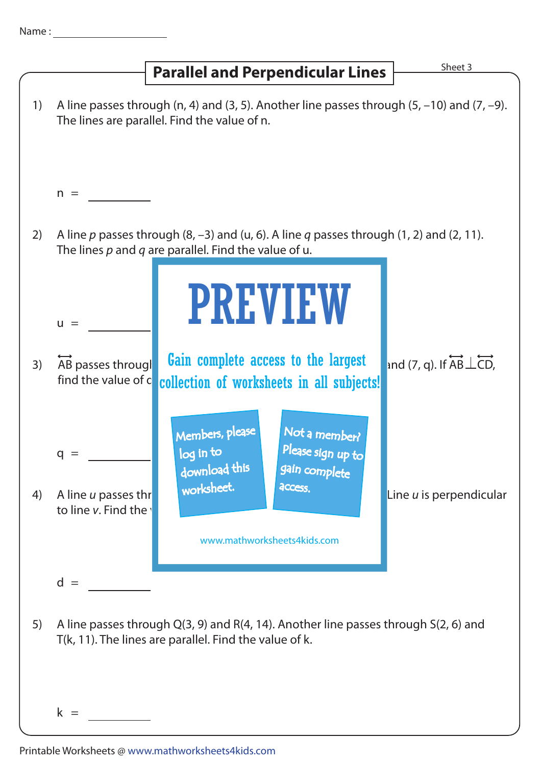| Name |  |  |  |  |
|------|--|--|--|--|
|      |  |  |  |  |